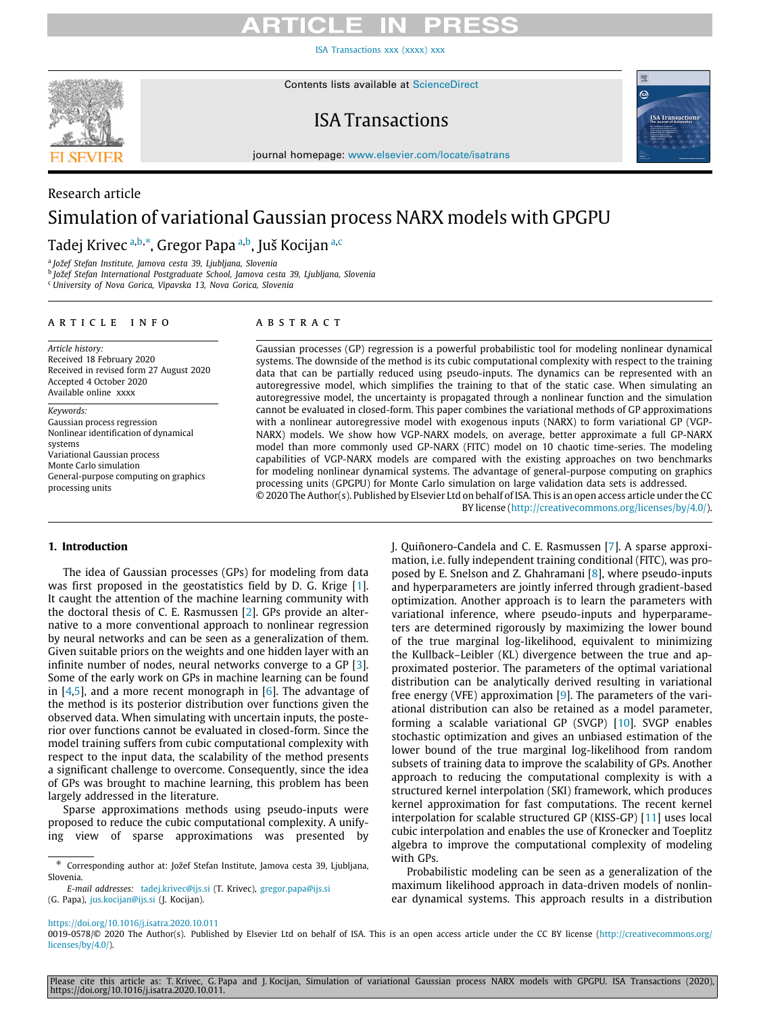[ISA Transactions xxx \(xxxx\) xxx](https://doi.org/10.1016/j.isatra.2020.10.011)



Research article

Contents lists available at [ScienceDirect](http://www.elsevier.com/locate/isatrans)

## ISA Transactions



journal homepage: [www.elsevier.com/locate/isatrans](http://www.elsevier.com/locate/isatrans)

# Simulation of variational Gaussian process NARX models with GPGPU

T[a](#page-0-0)dej Krivec <sup>a,[b](#page-0-1),[∗](#page-0-2)</sup>, Gregor Papa <sup>a,b</sup>, Juš Ko[c](#page-0-3)ijan <sup>a,c</sup>

<span id="page-0-0"></span>a *Jožef Stefan Institute, Jamova cesta 39, Ljubljana, Slovenia*

<span id="page-0-1"></span>b *Jožef Stefan International Postgraduate School, Jamova cesta 39, Ljubljana, Slovenia*

<span id="page-0-3"></span><sup>c</sup> *University of Nova Gorica, Vipavska 13, Nova Gorica, Slovenia*

### ARTICLE INFO

*Article history:* Received 18 February 2020 Received in revised form 27 August 2020 Accepted 4 October 2020 Available online xxxx

### *Keywords:*

Gaussian process regression Nonlinear identification of dynamical systems Variational Gaussian process Monte Carlo simulation General-purpose computing on graphics processing units

### A B S T R A C T

Gaussian processes (GP) regression is a powerful probabilistic tool for modeling nonlinear dynamical systems. The downside of the method is its cubic computational complexity with respect to the training data that can be partially reduced using pseudo-inputs. The dynamics can be represented with an autoregressive model, which simplifies the training to that of the static case. When simulating an autoregressive model, the uncertainty is propagated through a nonlinear function and the simulation cannot be evaluated in closed-form. This paper combines the variational methods of GP approximations with a nonlinear autoregressive model with exogenous inputs (NARX) to form variational GP (VGP-NARX) models. We show how VGP-NARX models, on average, better approximate a full GP-NARX model than more commonly used GP-NARX (FITC) model on 10 chaotic time-series. The modeling capabilities of VGP-NARX models are compared with the existing approaches on two benchmarks for modeling nonlinear dynamical systems. The advantage of general-purpose computing on graphics processing units (GPGPU) for Monte Carlo simulation on large validation data sets is addressed.

© 2020 The Author(s). Published by Elsevier Ltd on behalf of ISA. This is an open access article under the CC BY license [\(http://creativecommons.org/licenses/by/4.0/](http://creativecommons.org/licenses/by/4.0/)).

### **1. Introduction**

The idea of Gaussian processes (GPs) for modeling from data was first proposed in the geostatistics field by D. G. Krige [[1\]](#page-9-0). It caught the attention of the machine learning community with the doctoral thesis of C. E. Rasmussen [[2](#page-9-1)]. GPs provide an alternative to a more conventional approach to nonlinear regression by neural networks and can be seen as a generalization of them. Given suitable priors on the weights and one hidden layer with an infinite number of nodes, neural networks converge to a GP [[3\]](#page-9-2). Some of the early work on GPs in machine learning can be found in  $[4,5]$  $[4,5]$ , and a more recent monograph in  $[6]$  $[6]$ . The advantage of the method is its posterior distribution over functions given the observed data. When simulating with uncertain inputs, the posterior over functions cannot be evaluated in closed-form. Since the model training suffers from cubic computational complexity with respect to the input data, the scalability of the method presents a significant challenge to overcome. Consequently, since the idea of GPs was brought to machine learning, this problem has been largely addressed in the literature.

Sparse approximations methods using pseudo-inputs were proposed to reduce the cubic computational complexity. A unifying view of sparse approximations was presented by

*E-mail addresses:* [tadej.krivec@ijs.si](mailto:tadej.krivec@ijs.si) (T. Krivec), [gregor.papa@ijs.si](mailto:gregor.papa@ijs.si) (G. Papa), [jus.kocijan@ijs.si](mailto:jus.kocijan@ijs.si) (J. Kocijan).

J. Quiñonero-Candela and C. E. Rasmussen [\[7](#page-9-6)]. A sparse approximation, i.e. fully independent training conditional (FITC), was proposed by E. Snelson and Z. Ghahramani [\[8](#page-9-7)], where pseudo-inputs and hyperparameters are jointly inferred through gradient-based optimization. Another approach is to learn the parameters with variational inference, where pseudo-inputs and hyperparameters are determined rigorously by maximizing the lower bound of the true marginal log-likelihood, equivalent to minimizing the Kullback–Leibler (KL) divergence between the true and approximated posterior. The parameters of the optimal variational distribution can be analytically derived resulting in variational free energy (VFE) approximation [[9\]](#page-9-8). The parameters of the variational distribution can also be retained as a model parameter, forming a scalable variational GP (SVGP) [[10](#page-9-9)]. SVGP enables stochastic optimization and gives an unbiased estimation of the lower bound of the true marginal log-likelihood from random subsets of training data to improve the scalability of GPs. Another approach to reducing the computational complexity is with a structured kernel interpolation (SKI) framework, which produces kernel approximation for fast computations. The recent kernel interpolation for scalable structured GP (KISS-GP) [[11](#page-9-10)] uses local cubic interpolation and enables the use of Kronecker and Toeplitz algebra to improve the computational complexity of modeling with GPs.

Probabilistic modeling can be seen as a generalization of the maximum likelihood approach in data-driven models of nonlinear dynamical systems. This approach results in a distribution

Please cite this article as: T. Krivec, G. Papa and J. Kocijan, Simulation of variational Gaussian process NARX models with GPGPU. ISA Transactions (2020), https://doi.org/10.1016/j.isatra.2020.10.011.

<span id="page-0-2"></span><sup>∗</sup> Corresponding author at: Jožef Stefan Institute, Jamova cesta 39, Ljubljana, Slovenia.

<https://doi.org/10.1016/j.isatra.2020.10.011>

<sup>0019-0578/© 2020</sup> The Author(s). Published by Elsevier Ltd on behalf of ISA. This is an open access article under the CC BY license [\(http://creativecommons.org/](http://creativecommons.org/licenses/by/4.0/) [licenses/by/4.0/](http://creativecommons.org/licenses/by/4.0/)).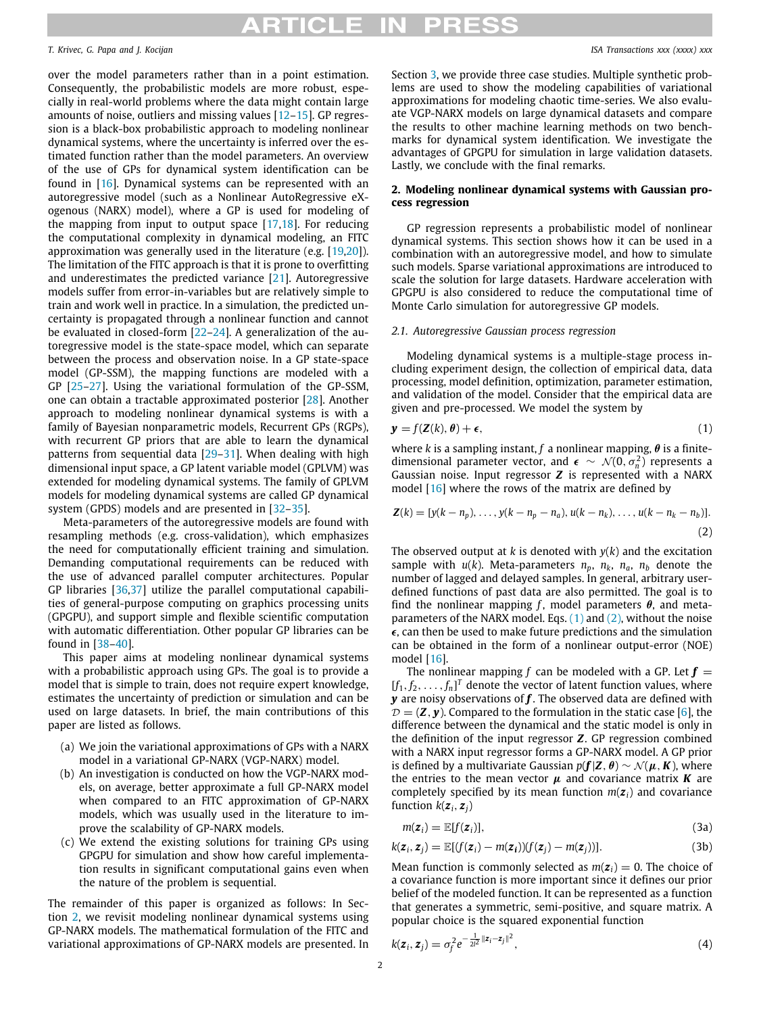## ПІСІ Е

### *T. Krivec, G. Papa and J. Kocijan ISA Transactions xxx (xxxx) xxx*

over the model parameters rather than in a point estimation. Consequently, the probabilistic models are more robust, especially in real-world problems where the data might contain large amounts of noise, outliers and missing values [\[12](#page-9-11)–[15](#page-9-12)]. GP regression is a black-box probabilistic approach to modeling nonlinear dynamical systems, where the uncertainty is inferred over the estimated function rather than the model parameters. An overview of the use of GPs for dynamical system identification can be found in [[16](#page-9-13)]. Dynamical systems can be represented with an autoregressive model (such as a Nonlinear AutoRegressive eXogenous (NARX) model), where a GP is used for modeling of the mapping from input to output space  $[17,18]$  $[17,18]$  $[17,18]$ . For reducing the computational complexity in dynamical modeling, an FITC approximation was generally used in the literature (e.g. [[19](#page-9-16)[,20\]](#page-9-17)). The limitation of the FITC approach is that it is prone to overfitting and underestimates the predicted variance [[21](#page-9-18)]. Autoregressive models suffer from error-in-variables but are relatively simple to train and work well in practice. In a simulation, the predicted uncertainty is propagated through a nonlinear function and cannot be evaluated in closed-form [\[22–](#page-9-19)[24](#page-9-20)]. A generalization of the autoregressive model is the state-space model, which can separate between the process and observation noise. In a GP state-space model (GP-SSM), the mapping functions are modeled with a GP [[25](#page-9-21)–[27\]](#page-9-22). Using the variational formulation of the GP-SSM, one can obtain a tractable approximated posterior [\[28\]](#page-9-23). Another approach to modeling nonlinear dynamical systems is with a family of Bayesian nonparametric models, Recurrent GPs (RGPs), with recurrent GP priors that are able to learn the dynamical patterns from sequential data [[29](#page-9-24)–[31\]](#page-9-25). When dealing with high dimensional input space, a GP latent variable model (GPLVM) was extended for modeling dynamical systems. The family of GPLVM models for modeling dynamical systems are called GP dynamical system (GPDS) models and are presented in [[32](#page-9-26)[–35\]](#page-9-27).

Meta-parameters of the autoregressive models are found with resampling methods (e.g. cross-validation), which emphasizes the need for computationally efficient training and simulation. Demanding computational requirements can be reduced with the use of advanced parallel computer architectures. Popular GP libraries [\[36](#page-9-28)[,37\]](#page-9-29) utilize the parallel computational capabilities of general-purpose computing on graphics processing units (GPGPU), and support simple and flexible scientific computation with automatic differentiation. Other popular GP libraries can be found in [\[38](#page-9-30)[–40](#page-9-31)].

This paper aims at modeling nonlinear dynamical systems with a probabilistic approach using GPs. The goal is to provide a model that is simple to train, does not require expert knowledge, estimates the uncertainty of prediction or simulation and can be used on large datasets. In brief, the main contributions of this paper are listed as follows.

- (a) We join the variational approximations of GPs with a NARX model in a variational GP-NARX (VGP-NARX) model.
- (b) An investigation is conducted on how the VGP-NARX models, on average, better approximate a full GP-NARX model when compared to an FITC approximation of GP-NARX models, which was usually used in the literature to improve the scalability of GP-NARX models.
- (c) We extend the existing solutions for training GPs using GPGPU for simulation and show how careful implementation results in significant computational gains even when the nature of the problem is sequential.

The remainder of this paper is organized as follows: In Section [2](#page-1-0), we revisit modeling nonlinear dynamical systems using GP-NARX models. The mathematical formulation of the FITC and variational approximations of GP-NARX models are presented. In Section [3,](#page-3-0) we provide three case studies. Multiple synthetic problems are used to show the modeling capabilities of variational approximations for modeling chaotic time-series. We also evaluate VGP-NARX models on large dynamical datasets and compare the results to other machine learning methods on two benchmarks for dynamical system identification. We investigate the advantages of GPGPU for simulation in large validation datasets. Lastly, we conclude with the final remarks.

### **2. Modeling nonlinear dynamical systems with Gaussian process regression**

<span id="page-1-0"></span>GP regression represents a probabilistic model of nonlinear dynamical systems. This section shows how it can be used in a combination with an autoregressive model, and how to simulate such models. Sparse variational approximations are introduced to scale the solution for large datasets. Hardware acceleration with GPGPU is also considered to reduce the computational time of Monte Carlo simulation for autoregressive GP models.

### *2.1. Autoregressive Gaussian process regression*

Modeling dynamical systems is a multiple-stage process including experiment design, the collection of empirical data, data processing, model definition, optimization, parameter estimation, and validation of the model. Consider that the empirical data are given and pre-processed. We model the system by

<span id="page-1-1"></span>
$$
\mathbf{y} = f(\mathbf{Z}(k), \boldsymbol{\theta}) + \boldsymbol{\epsilon},\tag{1}
$$

where *k* is a sampling instant, *f* a nonlinear mapping,  $\theta$  is a finitedimensional parameter vector, and  $\epsilon \sim \mathcal{N}(0, \sigma_n^2)$  represents a Gaussian noise. Input regressor *Z* is represented with a NARX model [[16](#page-9-13)] where the rows of the matrix are defined by

<span id="page-1-2"></span>
$$
\mathbf{Z}(k) = [y(k - n_p), \dots, y(k - n_p - n_a), u(k - n_k), \dots, u(k - n_k - n_b)].
$$
\n(2)

The observed output at *k* is denoted with *y*(*k*) and the excitation sample with  $u(k)$ . Meta-parameters  $n_p$ ,  $n_k$ ,  $n_a$ ,  $n_b$  denote the number of lagged and delayed samples. In general, arbitrary userdefined functions of past data are also permitted. The goal is to find the nonlinear mapping *f*, model parameters  $\theta$ , and metaparameters of the NARX model. Eqs.  $(1)$  and  $(2)$  $(2)$ , without the noise  $\epsilon$ , can then be used to make future predictions and the simulation can be obtained in the form of a nonlinear output-error (NOE) model [[16](#page-9-13)].

The nonlinear mapping f can be modeled with a GP. Let  $f =$  $[f_1, f_2, \ldots, f_n]^T$  denote the vector of latent function values, where *y* are noisy observations of *f* . The observed data are defined with  $D = (Z, y)$ . Compared to the formulation in the static case [\[6](#page-9-5)], the difference between the dynamical and the static model is only in the definition of the input regressor *Z*. GP regression combined with a NARX input regressor forms a GP-NARX model. A GP prior is defined by a multivariate Gaussian  $p(f|Z, \theta) \sim \mathcal{N}(\mu, K)$ , where the entries to the mean vector  $\mu$  and covariance matrix **K** are completely specified by its mean function  $m(z_i)$  and covariance function  $k(z_i, z_j)$ 

$$
m(\mathbf{z}_i) = \mathbb{E}[f(\mathbf{z}_i)], \qquad (3a)
$$

$$
k(\boldsymbol{z}_i, \boldsymbol{z}_j) = \mathbb{E}[(f(\boldsymbol{z}_i) - m(\boldsymbol{z}_i))(f(\boldsymbol{z}_j) - m(\boldsymbol{z}_j))]. \tag{3b}
$$

Mean function is commonly selected as  $m(z_i) = 0$ . The choice of a covariance function is more important since it defines our prior belief of the modeled function. It can be represented as a function that generates a symmetric, semi-positive, and square matrix. A popular choice is the squared exponential function

$$
k(z_i, z_j) = \sigma_f^2 e^{-\frac{1}{2l^2} ||z_i - z_j||^2}, \qquad (4)
$$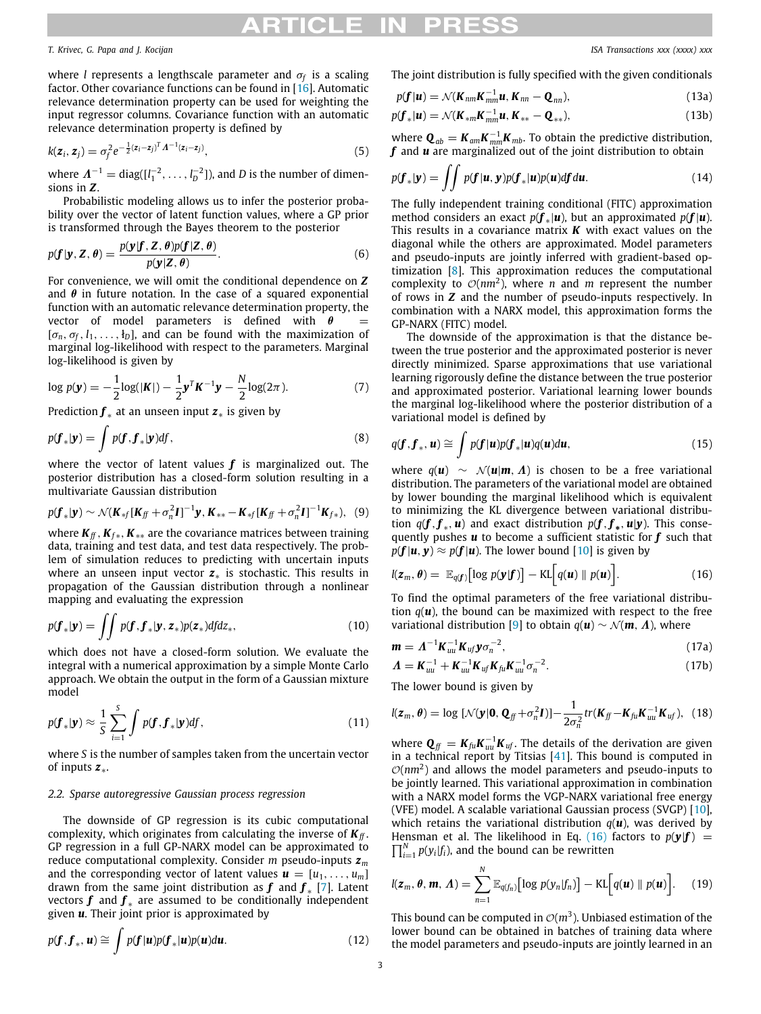### *T. Krivec, G. Papa and J. Kocijan ISA Transactions xxx (xxxx) xxx*

where *l* represents a lengthscale parameter and σ*<sup>f</sup>* is a scaling factor. Other covariance functions can be found in [\[16\]](#page-9-13). Automatic relevance determination property can be used for weighting the input regressor columns. Covariance function with an automatic relevance determination property is defined by

$$
k(z_i, z_j) = \sigma_f^2 e^{-\frac{1}{2}(z_i - z_j)^T A^{-1}(z_i - z_j)},
$$
\n(5)

where  $\boldsymbol{\Lambda}^{-1} = \text{diag}([l_1^{-2}, \ldots, l_D^{-2}])$ , and *D* is the number of dimensions in *Z*.

Probabilistic modeling allows us to infer the posterior probability over the vector of latent function values, where a GP prior is transformed through the Bayes theorem to the posterior

$$
p(\mathbf{f}|\mathbf{y}, \mathbf{Z}, \boldsymbol{\theta}) = \frac{p(\mathbf{y}|\mathbf{f}, \mathbf{Z}, \boldsymbol{\theta})p(\mathbf{f}|\mathbf{Z}, \boldsymbol{\theta})}{p(\mathbf{y}|\mathbf{Z}, \boldsymbol{\theta})}.
$$
(6)

For convenience, we will omit the conditional dependence on *Z* and  $\theta$  in future notation. In the case of a squared exponential function with an automatic relevance determination property, the vector of model parameters is defined with  $\theta$  $[\sigma_n, \sigma_f, l_1, \ldots, l_n]$ , and can be found with the maximization of marginal log-likelihood with respect to the parameters. Marginal log-likelihood is given by

$$
\log p(\mathbf{y}) = -\frac{1}{2}\log(|\mathbf{K}|) - \frac{1}{2}\mathbf{y}^T\mathbf{K}^{-1}\mathbf{y} - \frac{N}{2}\log(2\pi). \tag{7}
$$

Prediction *f* <sup>∗</sup> at an unseen input *z*<sup>∗</sup> is given by

$$
p(\boldsymbol{f}_*|\boldsymbol{y}) = \int p(\boldsymbol{f}, \boldsymbol{f}_*|\boldsymbol{y}) d\boldsymbol{f},
$$
\n(8)

where the vector of latent values *f* is marginalized out. The posterior distribution has a closed-form solution resulting in a multivariate Gaussian distribution

$$
p(\mathbf{f}_{*}|\mathbf{y}) \sim \mathcal{N}(\mathbf{K}_{*f}[\mathbf{K}_{ff} + \sigma_n^2 \mathbf{I}]^{-1} \mathbf{y}, \mathbf{K}_{**} - \mathbf{K}_{*f}[\mathbf{K}_{ff} + \sigma_n^2 \mathbf{I}]^{-1} \mathbf{K}_{f*}),
$$
 (9)

where  $K_f$ ,  $K_f$ ,  $K_{**}$  are the covariance matrices between training data, training and test data, and test data respectively. The problem of simulation reduces to predicting with uncertain inputs where an unseen input vector *z*∗ is stochastic. This results in propagation of the Gaussian distribution through a nonlinear mapping and evaluating the expression

$$
p(\boldsymbol{f}_*|\boldsymbol{y}) = \iint p(\boldsymbol{f}, \boldsymbol{f}_*|\boldsymbol{y}, \boldsymbol{z}_*) p(\boldsymbol{z}_*) df d\boldsymbol{z}_*,
$$
\n(10)

which does not have a closed-form solution. We evaluate the integral with a numerical approximation by a simple Monte Carlo approach. We obtain the output in the form of a Gaussian mixture model

$$
p(\boldsymbol{f}_{*}|\boldsymbol{y}) \approx \frac{1}{S} \sum_{i=1}^{S} \int p(\boldsymbol{f}, \boldsymbol{f}_{*}|\boldsymbol{y}) df,
$$
\n(11)

where *S* is the number of samples taken from the uncertain vector of inputs *z*∗.

### *2.2. Sparse autoregressive Gaussian process regression*

The downside of GP regression is its cubic computational complexity, which originates from calculating the inverse of  $K_f$ . GP regression in a full GP-NARX model can be approximated to reduce computational complexity. Consider *m* pseudo-inputs *z<sup>m</sup>* and the corresponding vector of latent values  $\mathbf{u} = [u_1, \ldots, u_m]$ drawn from the same joint distribution as  $f$  and  $f_*$  [\[7](#page-9-6)]. Latent vectors **f** and  $f_*$  are assumed to be conditionally independent given *u*. Their joint prior is approximated by

$$
p(\boldsymbol{f}, \boldsymbol{f}_*, \boldsymbol{u}) \cong \int p(\boldsymbol{f}|\boldsymbol{u}) p(\boldsymbol{f}_*|\boldsymbol{u}) p(\boldsymbol{u}) d\boldsymbol{u}.
$$
 (12)

The joint distribution is fully specified with the given conditionals

$$
p(\mathbf{f}|\mathbf{u}) = \mathcal{N}(\mathbf{K}_{nm}\mathbf{K}_{mm}^{-1}\mathbf{u}, \mathbf{K}_{nn} - \mathbf{Q}_{nn}),
$$
\n(13a)

$$
p(\boldsymbol{f}_{*}|\boldsymbol{u}) = \mathcal{N}(\boldsymbol{K}_{*m}\boldsymbol{K}_{mm}^{-1}\boldsymbol{u}, \boldsymbol{K}_{**} - \boldsymbol{Q}_{**}),
$$
\n(13b)

where  $\mathbf{Q}_{ab} = \mathbf{K}_{am} \mathbf{K}_{mm}^{-1} \mathbf{K}_{mb}$ . To obtain the predictive distribution, *f* and *u* are marginalized out of the joint distribution to obtain

$$
p(\boldsymbol{f}_*|\boldsymbol{y}) = \iint p(\boldsymbol{f}|\boldsymbol{u},\boldsymbol{y})p(\boldsymbol{f}_*|\boldsymbol{u})p(\boldsymbol{u})d\boldsymbol{f}d\boldsymbol{u}.
$$
 (14)

The fully independent training conditional (FITC) approximation method considers an exact  $p(\mathbf{f}_{*}|\mathbf{u})$ , but an approximated  $p(\mathbf{f}|\mathbf{u})$ . This results in a covariance matrix *K* with exact values on the diagonal while the others are approximated. Model parameters and pseudo-inputs are jointly inferred with gradient-based optimization [[8\]](#page-9-7). This approximation reduces the computational complexity to  $\mathcal{O}(nm^2)$ , where *n* and *m* represent the number of rows in *Z* and the number of pseudo-inputs respectively. In combination with a NARX model, this approximation forms the GP-NARX (FITC) model.

The downside of the approximation is that the distance between the true posterior and the approximated posterior is never directly minimized. Sparse approximations that use variational learning rigorously define the distance between the true posterior and approximated posterior. Variational learning lower bounds the marginal log-likelihood where the posterior distribution of a variational model is defined by

$$
q(\boldsymbol{f}, \boldsymbol{f}_*, \boldsymbol{u}) \cong \int p(\boldsymbol{f}|\boldsymbol{u})p(\boldsymbol{f}_*|\boldsymbol{u})q(\boldsymbol{u})d\boldsymbol{u},
$$
\n(15)

where  $q(\mathbf{u}) \sim \mathcal{N}(\mathbf{u}|\mathbf{m}, \mathbf{\Lambda})$  is chosen to be a free variational distribution. The parameters of the variational model are obtained by lower bounding the marginal likelihood which is equivalent to minimizing the KL divergence between variational distribution  $q(\mathbf{f}, \mathbf{f}_*, \mathbf{u})$  and exact distribution  $p(\mathbf{f}, \mathbf{f}_*, \mathbf{u} | \mathbf{y})$ . This consequently pushes *u* to become a sufficient statistic for *f* such that  $p(f | u, y) \approx p(f | u)$ . The lower bound [[10](#page-9-9)] is given by

<span id="page-2-0"></span>
$$
l(\boldsymbol{z}_m, \boldsymbol{\theta}) = \mathbb{E}_{q(\boldsymbol{f})} [\log p(\boldsymbol{y}|\boldsymbol{f})] - \text{KL}\big[q(\boldsymbol{u}) \parallel p(\boldsymbol{u})\big]. \tag{16}
$$

To find the optimal parameters of the free variational distribution  $q(\boldsymbol{u})$ , the bound can be maximized with respect to the free variational distribution [\[9](#page-9-8)] to obtain  $q(\mathbf{u}) \sim \mathcal{N}(\mathbf{m}, \Lambda)$ , where

$$
\mathbf{m} = \Lambda^{-1} \mathbf{K}_{uu}^{-1} \mathbf{K}_{uf} \mathbf{y} \sigma_n^{-2}, \tag{17a}
$$

$$
\Lambda = \mathbf{K}_{uu}^{-1} + \mathbf{K}_{uu}^{-1} \mathbf{K}_{uf} \mathbf{K}_{fu}^{-1} \sigma_n^{-2}.
$$
 (17b)

The lower bound is given by

$$
l(\boldsymbol{z}_m, \boldsymbol{\theta}) = \log \left[ \mathcal{N}(\boldsymbol{y}|\boldsymbol{0}, \boldsymbol{Q}_{ff} + \sigma_n^2 \boldsymbol{I}) \right] - \frac{1}{2\sigma_n^2} tr(\boldsymbol{K}_{ff} - \boldsymbol{K}_{fu} \boldsymbol{K}_{uu}^{-1} \boldsymbol{K}_{uf}), \quad (18)
$$

where  $\mathbf{Q}_{ff} = \mathbf{K}_{fu} \mathbf{K}_{uu}^{-1} \mathbf{K}_{uf}$ . The details of the derivation are given in a technical report by Titsias  $[41]$  $[41]$  $[41]$ . This bound is computed in  $\mathcal{O}(nm^2)$  and allows the model parameters and pseudo-inputs to be jointly learned. This variational approximation in combination with a NARX model forms the VGP-NARX variational free energy (VFE) model. A scalable variational Gaussian process (SVGP) [\[10\]](#page-9-9), which retains the variational distribution  $q(\boldsymbol{u})$ , was derived by  $\prod_{i=1}^{N} p(y_i|f_i)$ , and the bound can be rewritten Hensman et al. The likelihood in Eq. [\(16\)](#page-2-0) factors to  $p(\mathbf{y}|\mathbf{f}) =$ 

$$
l(\boldsymbol{z}_m, \boldsymbol{\theta}, \boldsymbol{m}, \boldsymbol{\Lambda}) = \sum_{n=1}^N \mathbb{E}_{q(f_n)} \big[ \log p(y_n | f_n) \big] - \text{KL} \big[ q(\boldsymbol{u}) \parallel p(\boldsymbol{u}) \big]. \qquad (19)
$$

This bound can be computed in  $\mathcal{O}(m^3)$ . Unbiased estimation of the lower bound can be obtained in batches of training data where the model parameters and pseudo-inputs are jointly learned in an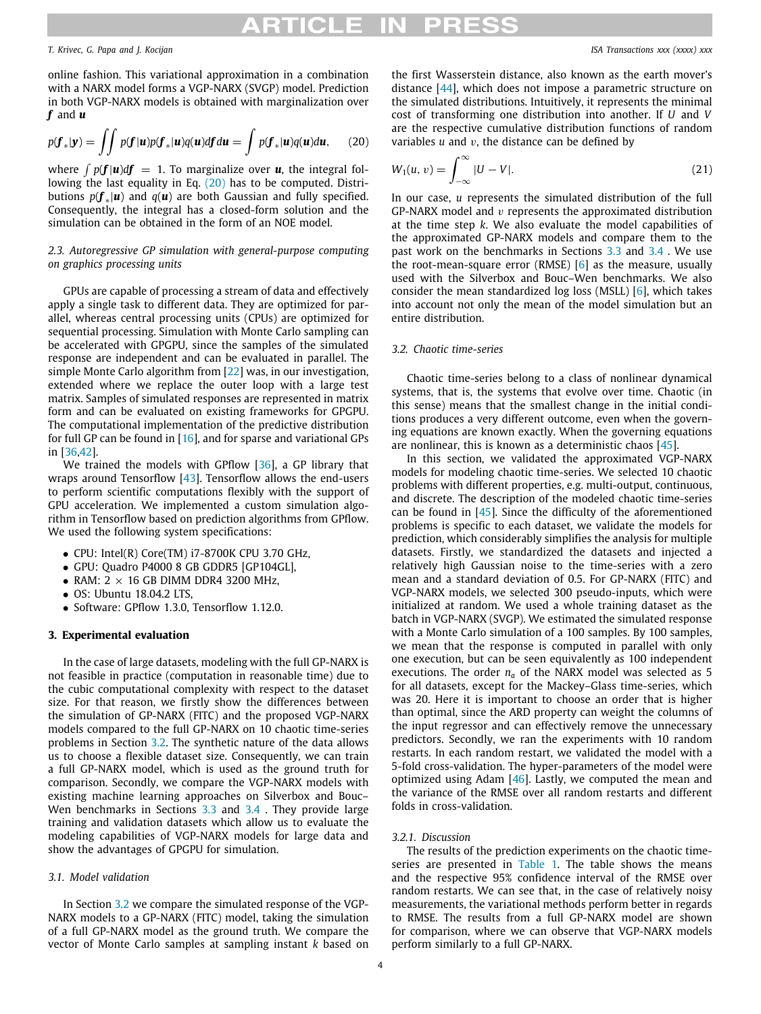## THCH

### *T. Krivec, G. Papa and J. Kocijan ISA Transactions xxx (xxxx) xxx*

online fashion. This variational approximation in a combination with a NARX model forms a VGP-NARX (SVGP) model. Prediction in both VGP-NARX models is obtained with marginalization over *f* and *u*

$$
p(\boldsymbol{f}_*|\boldsymbol{y}) = \iint p(\boldsymbol{f}|\boldsymbol{u})p(\boldsymbol{f}_*|\boldsymbol{u})q(\boldsymbol{u})d\boldsymbol{f}d\boldsymbol{u} = \int p(\boldsymbol{f}_*|\boldsymbol{u})q(\boldsymbol{u})d\boldsymbol{u},\qquad(20)
$$

where  $\int p(\mathbf{f}|\mathbf{u})d\mathbf{f} = 1$ . To marginalize over  $\mathbf{u}$ , the integral following the last equality in Eq.  $(20)$  $(20)$  $(20)$  has to be computed. Distributions *p*(*f* <sup>∗</sup> |*u*) and *q*(*u*) are both Gaussian and fully specified. Consequently, the integral has a closed-form solution and the simulation can be obtained in the form of an NOE model.

### *2.3. Autoregressive GP simulation with general-purpose computing on graphics processing units*

GPUs are capable of processing a stream of data and effectively apply a single task to different data. They are optimized for parallel, whereas central processing units (CPUs) are optimized for sequential processing. Simulation with Monte Carlo sampling can be accelerated with GPGPU, since the samples of the simulated response are independent and can be evaluated in parallel. The simple Monte Carlo algorithm from [\[22\]](#page-9-19) was, in our investigation, extended where we replace the outer loop with a large test matrix. Samples of simulated responses are represented in matrix form and can be evaluated on existing frameworks for GPGPU. The computational implementation of the predictive distribution for full GP can be found in  $[16]$ , and for sparse and variational GPs in [[36](#page-9-28)[,42](#page-9-33)].

We trained the models with GPflow [[36](#page-9-28)], a GP library that wraps around Tensorflow [[43](#page-9-34)]. Tensorflow allows the end-users to perform scientific computations flexibly with the support of GPU acceleration. We implemented a custom simulation algorithm in Tensorflow based on prediction algorithms from GPflow. We used the following system specifications:

- CPU: Intel(R) Core(TM) i7-8700K CPU 3.70 GHz,
- GPU: Quadro P4000 8 GB GDDR5 [GP104GL],
- RAM:  $2 \times 16$  GB DIMM DDR4 3200 MHz,
- OS: Ubuntu 18.04.2 LTS,
- Software: GPflow 1.3.0, Tensorflow 1.12.0.

### **3. Experimental evaluation**

<span id="page-3-0"></span>In the case of large datasets, modeling with the full GP-NARX is not feasible in practice (computation in reasonable time) due to the cubic computational complexity with respect to the dataset size. For that reason, we firstly show the differences between the simulation of GP-NARX (FITC) and the proposed VGP-NARX models compared to the full GP-NARX on 10 chaotic time-series problems in Section [3.2.](#page-3-2) The synthetic nature of the data allows us to choose a flexible dataset size. Consequently, we can train a full GP-NARX model, which is used as the ground truth for comparison. Secondly, we compare the VGP-NARX models with existing machine learning approaches on Silverbox and Bouc– Wen benchmarks in Sections [3.3](#page-5-0) and [3.4](#page-6-0) . They provide large training and validation datasets which allow us to evaluate the modeling capabilities of VGP-NARX models for large data and show the advantages of GPGPU for simulation.

### *3.1. Model validation*

In Section [3.2](#page-3-2) we compare the simulated response of the VGP-NARX models to a GP-NARX (FITC) model, taking the simulation of a full GP-NARX model as the ground truth. We compare the vector of Monte Carlo samples at sampling instant *k* based on the first Wasserstein distance, also known as the earth mover's distance [[44](#page-9-35)], which does not impose a parametric structure on the simulated distributions. Intuitively, it represents the minimal cost of transforming one distribution into another. If *U* and *V* are the respective cumulative distribution functions of random variables *u* and v, the distance can be defined by

<span id="page-3-1"></span>
$$
W_1(u, v) = \int_{-\infty}^{\infty} |U - V|.
$$
\n(21)

In our case, *u* represents the simulated distribution of the full GP-NARX model and  $v$  represents the approximated distribution at the time step *k*. We also evaluate the model capabilities of the approximated GP-NARX models and compare them to the past work on the benchmarks in Sections [3.3](#page-5-0) and [3.4](#page-6-0) . We use the root-mean-square error (RMSE) [\[6\]](#page-9-5) as the measure, usually used with the Silverbox and Bouc–Wen benchmarks. We also consider the mean standardized log loss (MSLL) [\[6](#page-9-5)], which takes into account not only the mean of the model simulation but an entire distribution.

### *3.2. Chaotic time-series*

<span id="page-3-2"></span>Chaotic time-series belong to a class of nonlinear dynamical systems, that is, the systems that evolve over time. Chaotic (in this sense) means that the smallest change in the initial conditions produces a very different outcome, even when the governing equations are known exactly. When the governing equations are nonlinear, this is known as a deterministic chaos [\[45\]](#page-9-36).

In this section, we validated the approximated VGP-NARX models for modeling chaotic time-series. We selected 10 chaotic problems with different properties, e.g. multi-output, continuous, and discrete. The description of the modeled chaotic time-series can be found in [\[45\]](#page-9-36). Since the difficulty of the aforementioned problems is specific to each dataset, we validate the models for prediction, which considerably simplifies the analysis for multiple datasets. Firstly, we standardized the datasets and injected a relatively high Gaussian noise to the time-series with a zero mean and a standard deviation of 0.5. For GP-NARX (FITC) and VGP-NARX models, we selected 300 pseudo-inputs, which were initialized at random. We used a whole training dataset as the batch in VGP-NARX (SVGP). We estimated the simulated response with a Monte Carlo simulation of a 100 samples. By 100 samples, we mean that the response is computed in parallel with only one execution, but can be seen equivalently as 100 independent executions. The order  $n_a$  of the NARX model was selected as 5 for all datasets, except for the Mackey–Glass time-series, which was 20. Here it is important to choose an order that is higher than optimal, since the ARD property can weight the columns of the input regressor and can effectively remove the unnecessary predictors. Secondly, we ran the experiments with 10 random restarts. In each random restart, we validated the model with a 5-fold cross-validation. The hyper-parameters of the model were optimized using Adam [\[46\]](#page-9-37). Lastly, we computed the mean and the variance of the RMSE over all random restarts and different folds in cross-validation.

### *3.2.1. Discussion*

The results of the prediction experiments on the chaotic time-series are presented in [Table](#page-4-0) [1](#page-4-0). The table shows the means and the respective 95% confidence interval of the RMSE over random restarts. We can see that, in the case of relatively noisy measurements, the variational methods perform better in regards to RMSE. The results from a full GP-NARX model are shown for comparison, where we can observe that VGP-NARX models perform similarly to a full GP-NARX.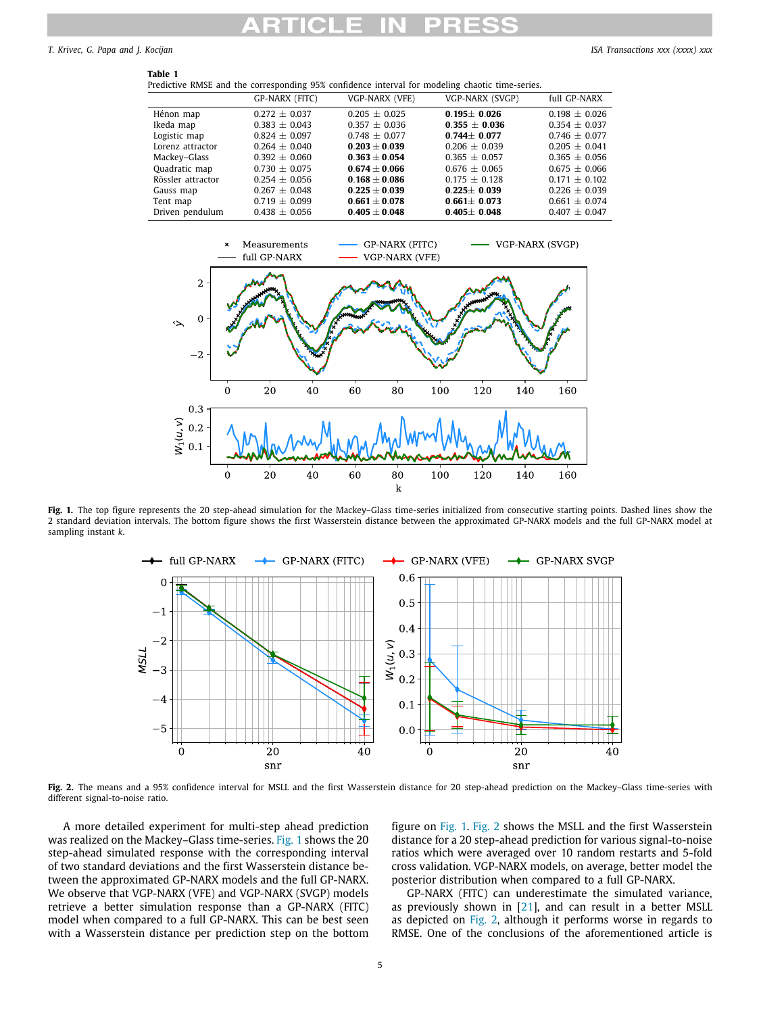**Table 1**

<span id="page-4-0"></span>*T. Krivec, G. Papa and J. Kocijan ISA Transactions xxx (xxxx) xxx*

| Predictive RMSE and the corresponding 95% confidence interval for modeling chaotic time-series. |                   |                   |                   |                   |  |  |
|-------------------------------------------------------------------------------------------------|-------------------|-------------------|-------------------|-------------------|--|--|
|                                                                                                 | GP-NARX (FITC)    | VGP-NARX (VFE)    | VGP-NARX (SVGP)   | full GP-NARX      |  |  |
| Hénon map                                                                                       | $0.272 \pm 0.037$ | $0.205 \pm 0.025$ | $0.195 \pm 0.026$ | $0.198 \pm 0.026$ |  |  |
| Ikeda map                                                                                       | $0.383 \pm 0.043$ | $0.357 \pm 0.036$ | $0.355 \pm 0.036$ | $0.354 \pm 0.037$ |  |  |
| Logistic map                                                                                    | $0.824 \pm 0.097$ | $0.748 \pm 0.077$ | $0.744 \pm 0.077$ | $0.746 \pm 0.077$ |  |  |
| Lorenz attractor                                                                                | $0.264 \pm 0.040$ | $0.203 \pm 0.039$ | $0.206 \pm 0.039$ | $0.205 \pm 0.041$ |  |  |
| Mackey-Glass                                                                                    | $0.392 \pm 0.060$ | $0.363 \pm 0.054$ | $0.365 \pm 0.057$ | $0.365 \pm 0.056$ |  |  |
| Quadratic map                                                                                   | $0.730 + 0.075$   | $0.674 \pm 0.066$ | $0.676 \pm 0.065$ | $0.675 \pm 0.066$ |  |  |
| Rössler attractor                                                                               | $0.254 + 0.056$   | $0.168 + 0.086$   | $0.175 + 0.128$   | $0.171 \pm 0.102$ |  |  |
| Gauss map                                                                                       | $0.267 \pm 0.048$ | $0.225 \pm 0.039$ | $0.225 \pm 0.039$ | $0.226 \pm 0.039$ |  |  |
| Tent map                                                                                        | $0.719 \pm 0.099$ | $0.661 \pm 0.078$ | $0.661 \pm 0.073$ | $0.661 \pm 0.074$ |  |  |
| Driven pendulum                                                                                 | $0.438 \pm 0.056$ | $0.405 \pm 0.048$ | $0.405 \pm 0.048$ | $0.407 \pm 0.047$ |  |  |
|                                                                                                 |                   |                   |                   |                   |  |  |



<span id="page-4-1"></span>Fig. 1. The top figure represents the 20 step-ahead simulation for the Mackey–Glass time-series initialized from consecutive starting points. Dashed lines show the 2 standard deviation intervals. The bottom figure shows the first Wasserstein distance between the approximated GP-NARX models and the full GP-NARX model at sampling instant *k*.



<span id="page-4-2"></span>**Fig. 2.** The means and a 95% confidence interval for MSLL and the first Wasserstein distance for 20 step-ahead prediction on the Mackey–Glass time-series with different signal-to-noise ratio.

A more detailed experiment for multi-step ahead prediction was realized on the Mackey–Glass time-series. [Fig.](#page-4-1) [1](#page-4-1) shows the 20 step-ahead simulated response with the corresponding interval of two standard deviations and the first Wasserstein distance between the approximated GP-NARX models and the full GP-NARX. We observe that VGP-NARX (VFE) and VGP-NARX (SVGP) models retrieve a better simulation response than a GP-NARX (FITC) model when compared to a full GP-NARX. This can be best seen with a Wasserstein distance per prediction step on the bottom

figure on [Fig.](#page-4-1) [1.](#page-4-1) [Fig.](#page-4-2) [2](#page-4-2) shows the MSLL and the first Wasserstein distance for a 20 step-ahead prediction for various signal-to-noise ratios which were averaged over 10 random restarts and 5-fold cross validation. VGP-NARX models, on average, better model the posterior distribution when compared to a full GP-NARX.

GP-NARX (FITC) can underestimate the simulated variance, as previously shown in [\[21\]](#page-9-18), and can result in a better MSLL as depicted on [Fig.](#page-4-2) [2](#page-4-2), although it performs worse in regards to RMSE. One of the conclusions of the aforementioned article is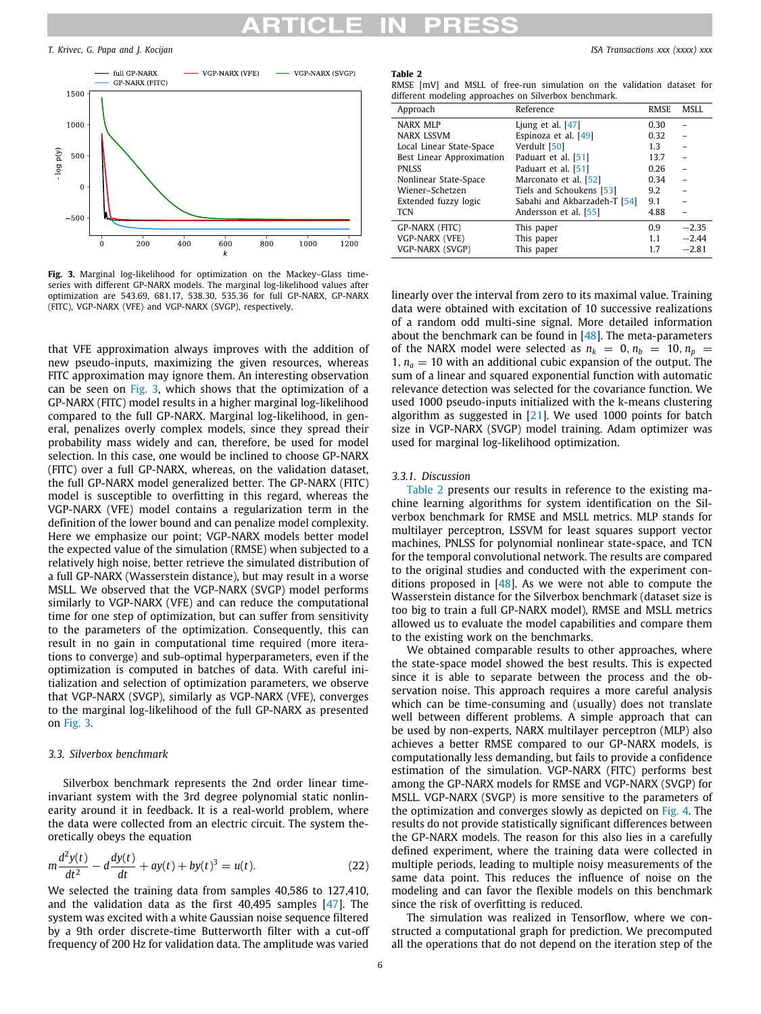*T. Krivec, G. Papa and J. Kocijan ISA Transactions xxx (xxxx) xxx*



<span id="page-5-1"></span>**Fig. 3.** Marginal log-likelihood for optimization on the Mackey–Glass timeseries with different GP-NARX models. The marginal log-likelihood values after optimization are 543.69, 681.17, 538.30, 535.36 for full GP-NARX, GP-NARX (FITC), VGP-NARX (VFE) and VGP-NARX (SVGP), respectively.

that VFE approximation always improves with the addition of new pseudo-inputs, maximizing the given resources, whereas FITC approximation may ignore them. An interesting observation can be seen on [Fig.](#page-5-1) [3,](#page-5-1) which shows that the optimization of a GP-NARX (FITC) model results in a higher marginal log-likelihood compared to the full GP-NARX. Marginal log-likelihood, in general, penalizes overly complex models, since they spread their probability mass widely and can, therefore, be used for model selection. In this case, one would be inclined to choose GP-NARX (FITC) over a full GP-NARX, whereas, on the validation dataset, the full GP-NARX model generalized better. The GP-NARX (FITC) model is susceptible to overfitting in this regard, whereas the VGP-NARX (VFE) model contains a regularization term in the definition of the lower bound and can penalize model complexity. Here we emphasize our point; VGP-NARX models better model the expected value of the simulation (RMSE) when subjected to a relatively high noise, better retrieve the simulated distribution of a full GP-NARX (Wasserstein distance), but may result in a worse MSLL. We observed that the VGP-NARX (SVGP) model performs similarly to VGP-NARX (VFE) and can reduce the computational time for one step of optimization, but can suffer from sensitivity to the parameters of the optimization. Consequently, this can result in no gain in computational time required (more iterations to converge) and sub-optimal hyperparameters, even if the optimization is computed in batches of data. With careful initialization and selection of optimization parameters, we observe that VGP-NARX (SVGP), similarly as VGP-NARX (VFE), converges to the marginal log-likelihood of the full GP-NARX as presented on [Fig.](#page-5-1) [3.](#page-5-1)

### *3.3. Silverbox benchmark*

<span id="page-5-0"></span>Silverbox benchmark represents the 2nd order linear timeinvariant system with the 3rd degree polynomial static nonlinearity around it in feedback. It is a real-world problem, where the data were collected from an electric circuit. The system theoretically obeys the equation

$$
m\frac{d^2y(t)}{dt^2} - d\frac{dy(t)}{dt} + ay(t) + by(t)^3 = u(t).
$$
 (22)

We selected the training data from samples 40,586 to 127,410, and the validation data as the first 40,495 samples [[47](#page-9-38)]. The system was excited with a white Gaussian noise sequence filtered by a 9th order discrete-time Butterworth filter with a cut-off frequency of 200 Hz for validation data. The amplitude was varied

### **Table 2**

<span id="page-5-2"></span>

|                                                       |  |  |  |  |  | RMSE [mV] and MSLL of free-run simulation on the validation dataset for |  |  |  |  |
|-------------------------------------------------------|--|--|--|--|--|-------------------------------------------------------------------------|--|--|--|--|
| different modeling approaches on Silverbox benchmark. |  |  |  |  |  |                                                                         |  |  |  |  |

| Approach                  | Reference                    | <b>RMSE</b> | MSLL    |
|---------------------------|------------------------------|-------------|---------|
| NARX MLP                  | Ljung et al. $[47]$          | 0.30        |         |
| <b>NARX LSSVM</b>         | Espinoza et al. $[49]$       | 0.32        |         |
| Local Linear State-Space  | Verdult [50]                 | 1.3         |         |
| Best Linear Approximation | Paduart et al. [51]          | 13.7        |         |
| <b>PNLSS</b>              | Paduart et al. [51]          | 0.26        |         |
| Nonlinear State-Space     | Marconato et al. [52]        | 0.34        |         |
| Wiener-Schetzen           | Tiels and Schoukens [53]     | 9.2         |         |
| Extended fuzzy logic      | Sabahi and Akbarzadeh-T [54] | 9.1         |         |
| <b>TCN</b>                | Andersson et al. [55]        | 4.88        |         |
| GP-NARX (FITC)            | This paper                   | 0.9         | $-2.35$ |
| VGP-NARX (VFE)            | This paper                   | 1.1         | $-2.44$ |
| VGP-NARX (SVGP)           | This paper                   | 1.7         | $-2.81$ |

linearly over the interval from zero to its maximal value. Training data were obtained with excitation of 10 successive realizations of a random odd multi-sine signal. More detailed information about the benchmark can be found in [[48](#page-9-41)]. The meta-parameters of the NARX model were selected as  $n_k = 0$ ,  $n_b = 10$ ,  $n_p = 10$ 1,  $n_a = 10$  with an additional cubic expansion of the output. The sum of a linear and squared exponential function with automatic relevance detection was selected for the covariance function. We used 1000 pseudo-inputs initialized with the k-means clustering algorithm as suggested in [\[21\]](#page-9-18). We used 1000 points for batch size in VGP-NARX (SVGP) model training. Adam optimizer was used for marginal log-likelihood optimization.

### *3.3.1. Discussion*

[Table](#page-5-2) [2](#page-5-2) presents our results in reference to the existing machine learning algorithms for system identification on the Silverbox benchmark for RMSE and MSLL metrics. MLP stands for multilayer perceptron, LSSVM for least squares support vector machines, PNLSS for polynomial nonlinear state-space, and TCN for the temporal convolutional network. The results are compared to the original studies and conducted with the experiment conditions proposed in [\[48](#page-9-41)]. As we were not able to compute the Wasserstein distance for the Silverbox benchmark (dataset size is too big to train a full GP-NARX model), RMSE and MSLL metrics allowed us to evaluate the model capabilities and compare them to the existing work on the benchmarks.

We obtained comparable results to other approaches, where the state-space model showed the best results. This is expected since it is able to separate between the process and the observation noise. This approach requires a more careful analysis which can be time-consuming and (usually) does not translate well between different problems. A simple approach that can be used by non-experts, NARX multilayer perceptron (MLP) also achieves a better RMSE compared to our GP-NARX models, is computationally less demanding, but fails to provide a confidence estimation of the simulation. VGP-NARX (FITC) performs best among the GP-NARX models for RMSE and VGP-NARX (SVGP) for MSLL. VGP-NARX (SVGP) is more sensitive to the parameters of the optimization and converges slowly as depicted on [Fig.](#page-6-1) [4](#page-6-1). The results do not provide statistically significant differences between the GP-NARX models. The reason for this also lies in a carefully defined experiment, where the training data were collected in multiple periods, leading to multiple noisy measurements of the same data point. This reduces the influence of noise on the modeling and can favor the flexible models on this benchmark since the risk of overfitting is reduced.

The simulation was realized in Tensorflow, where we constructed a computational graph for prediction. We precomputed all the operations that do not depend on the iteration step of the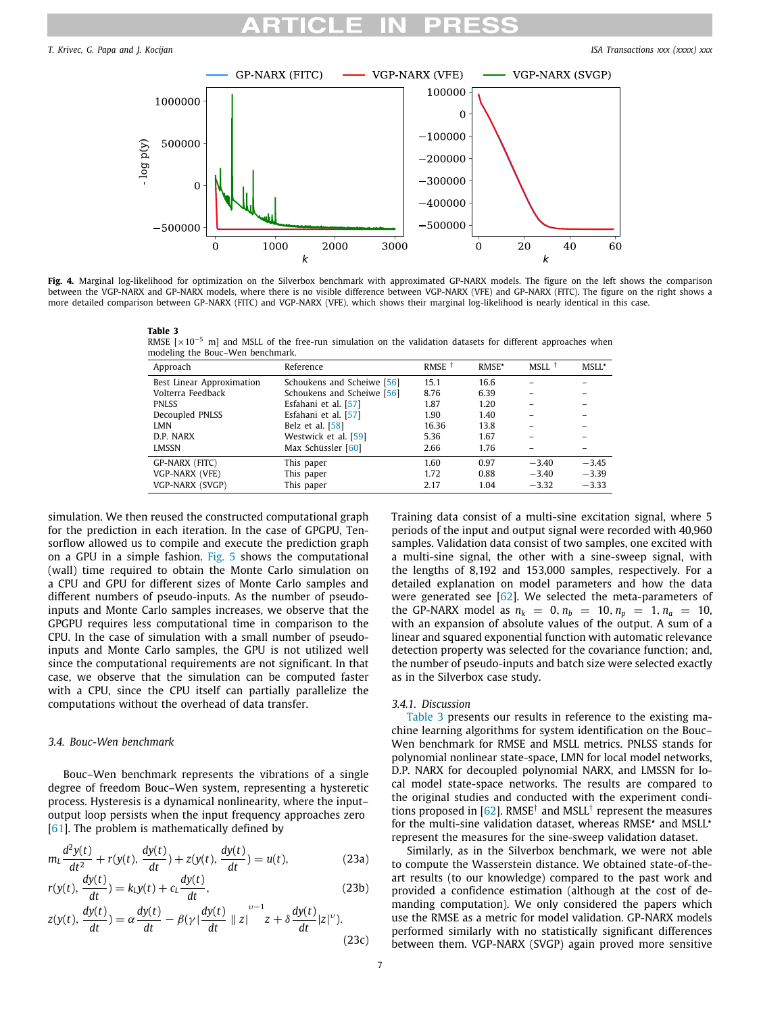

<span id="page-6-2"></span><span id="page-6-1"></span>**Fig. 4.** Marginal log-likelihood for optimization on the Silverbox benchmark with approximated GP-NARX models. The figure on the left shows the comparison between the VGP-NARX and GP-NARX models, where there is no visible difference between VGP-NARX (VFE) and GP-NARX (FITC). The figure on the right shows a more detailed comparison between GP-NARX (FITC) and VGP-NARX (VFE), which shows their marginal log-likelihood is nearly identical in this case.

| ı<br>٠ |  |
|--------|--|
|--------|--|

**Table 3**<br>RMSE [×10<sup>−5</sup> m] and MSLL of the free-run simulation on the validation datasets for different approaches when modeling the Bouc–Wen benchmark.

| Approach                  | Reference                  | RMSE <sup><math>\dagger</math></sup> | RMSE* | MSLL †  | MSLL*   |
|---------------------------|----------------------------|--------------------------------------|-------|---------|---------|
| Best Linear Approximation | Schoukens and Scheiwe [56] | 15.1                                 | 16.6  |         |         |
| Volterra Feedback         | Schoukens and Scheiwe [56] | 8.76                                 | 6.39  |         |         |
| <b>PNLSS</b>              | Esfahani et al. [57]       | 1.87                                 | 1.20  |         |         |
| Decoupled PNLSS           | Esfahani et al. [57]       | 1.90                                 | 1.40  |         |         |
| LMN                       | Belz et al. $[58]$         | 16.36                                | 13.8  |         |         |
| D.P. NARX                 | Westwick et al. [59]       | 5.36                                 | 1.67  |         |         |
| LMSSN                     | Max Schüssler [60]         | 2.66                                 | 1.76  |         |         |
| GP-NARX (FITC)            | This paper                 | 1.60                                 | 0.97  | $-3.40$ | $-3.45$ |
| VGP-NARX (VFE)            | This paper                 | 1.72                                 | 0.88  | $-3.40$ | $-3.39$ |
| VGP-NARX (SVGP)           | This paper                 | 2.17                                 | 1.04  | $-3.32$ | $-3.33$ |
|                           |                            |                                      |       |         |         |

simulation. We then reused the constructed computational graph for the prediction in each iteration. In the case of GPGPU, Tensorflow allowed us to compile and execute the prediction graph on a GPU in a simple fashion. [Fig.](#page-7-0) [5](#page-7-0) shows the computational (wall) time required to obtain the Monte Carlo simulation on a CPU and GPU for different sizes of Monte Carlo samples and different numbers of pseudo-inputs. As the number of pseudoinputs and Monte Carlo samples increases, we observe that the GPGPU requires less computational time in comparison to the CPU. In the case of simulation with a small number of pseudoinputs and Monte Carlo samples, the GPU is not utilized well since the computational requirements are not significant. In that case, we observe that the simulation can be computed faster with a CPU, since the CPU itself can partially parallelize the computations without the overhead of data transfer.

### *3.4. Bouc-Wen benchmark*

<span id="page-6-0"></span>Bouc–Wen benchmark represents the vibrations of a single degree of freedom Bouc–Wen system, representing a hysteretic process. Hysteresis is a dynamical nonlinearity, where the input– output loop persists when the input frequency approaches zero [[61](#page-10-10)]. The problem is mathematically defined by

$$
m_L \frac{d^2 y(t)}{dt^2} + r(y(t), \frac{dy(t)}{dt}) + z(y(t), \frac{dy(t)}{dt}) = u(t),
$$
 (23a)

$$
r(y(t), \frac{dy(t)}{dt}) = k_L y(t) + c_L \frac{dy(t)}{dt},
$$
\n(23b)

$$
z(y(t), \frac{dy(t)}{dt}) = \alpha \frac{dy(t)}{dt} - \beta(\gamma) \frac{dy(t)}{dt} ||z||^{v-1} z + \delta \frac{dy(t)}{dt} |z|^{v}).
$$
\n(23c)

Training data consist of a multi-sine excitation signal, where 5 periods of the input and output signal were recorded with 40,960 samples. Validation data consist of two samples, one excited with a multi-sine signal, the other with a sine-sweep signal, with the lengths of 8,192 and 153,000 samples, respectively. For a detailed explanation on model parameters and how the data were generated see [[62\]](#page-10-11). We selected the meta-parameters of the GP-NARX model as  $n_k = 0, n_b = 10, n_p = 1, n_a = 10,$ with an expansion of absolute values of the output. A sum of a linear and squared exponential function with automatic relevance detection property was selected for the covariance function; and, the number of pseudo-inputs and batch size were selected exactly as in the Silverbox case study.

### *3.4.1. Discussion*

[Table](#page-6-2) [3](#page-6-2) presents our results in reference to the existing machine learning algorithms for system identification on the Bouc– Wen benchmark for RMSE and MSLL metrics. PNLSS stands for polynomial nonlinear state-space, LMN for local model networks, D.P. NARX for decoupled polynomial NARX, and LMSSN for local model state-space networks. The results are compared to the original studies and conducted with the experiment condi-tions proposed in [\[62\]](#page-10-11). RMSE<sup>†</sup> and MSLL<sup>†</sup> represent the measures for the multi-sine validation dataset, whereas RMSE\* and MSLL\* represent the measures for the sine-sweep validation dataset.

Similarly, as in the Silverbox benchmark, we were not able to compute the Wasserstein distance. We obtained state-of-theart results (to our knowledge) compared to the past work and provided a confidence estimation (although at the cost of demanding computation). We only considered the papers which use the RMSE as a metric for model validation. GP-NARX models performed similarly with no statistically significant differences between them. VGP-NARX (SVGP) again proved more sensitive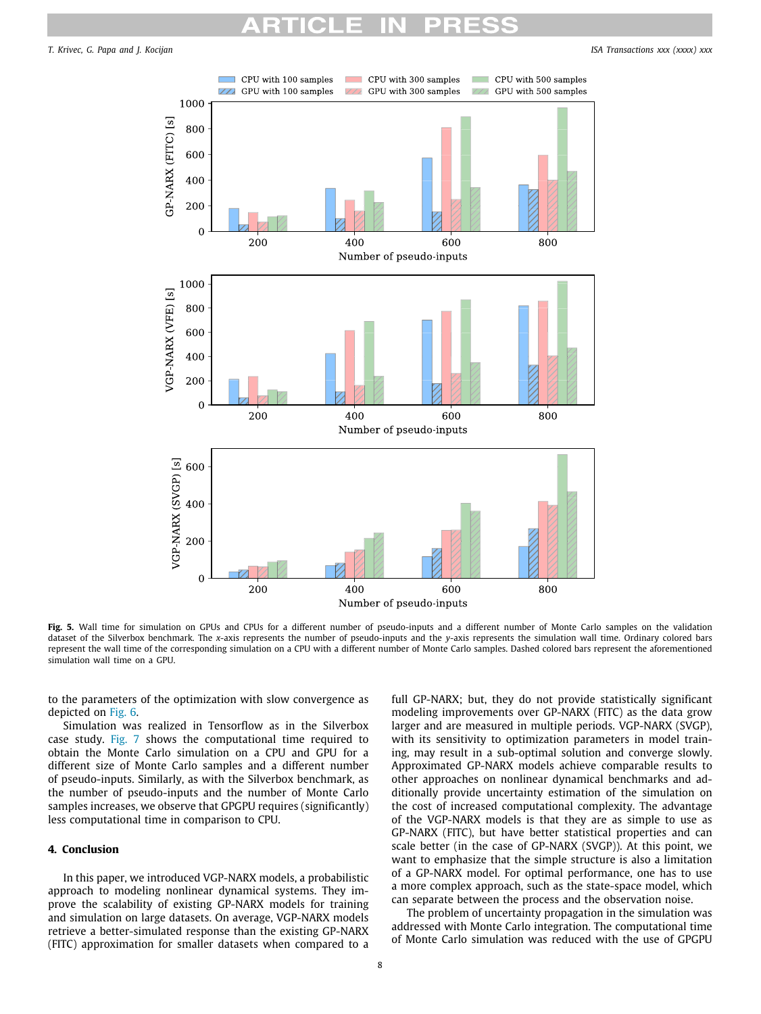

<span id="page-7-0"></span>Fig. 5. Wall time for simulation on GPUs and CPUs for a different number of pseudo-inputs and a different number of Monte Carlo samples on the validation dataset of the Silverbox benchmark. The *x*-axis represents the number of pseudo-inputs and the *y*-axis represents the simulation wall time. Ordinary colored bars represent the wall time of the corresponding simulation on a CPU with a different number of Monte Carlo samples. Dashed colored bars represent the aforementioned simulation wall time on a GPU.

to the parameters of the optimization with slow convergence as depicted on [Fig.](#page-8-0) [6.](#page-8-0)

Simulation was realized in Tensorflow as in the Silverbox case study. [Fig.](#page-8-1) [7](#page-8-1) shows the computational time required to obtain the Monte Carlo simulation on a CPU and GPU for a different size of Monte Carlo samples and a different number of pseudo-inputs. Similarly, as with the Silverbox benchmark, as the number of pseudo-inputs and the number of Monte Carlo samples increases, we observe that GPGPU requires (significantly) less computational time in comparison to CPU.

### **4. Conclusion**

In this paper, we introduced VGP-NARX models, a probabilistic approach to modeling nonlinear dynamical systems. They improve the scalability of existing GP-NARX models for training and simulation on large datasets. On average, VGP-NARX models retrieve a better-simulated response than the existing GP-NARX (FITC) approximation for smaller datasets when compared to a

full GP-NARX; but, they do not provide statistically significant modeling improvements over GP-NARX (FITC) as the data grow larger and are measured in multiple periods. VGP-NARX (SVGP), with its sensitivity to optimization parameters in model training, may result in a sub-optimal solution and converge slowly. Approximated GP-NARX models achieve comparable results to other approaches on nonlinear dynamical benchmarks and additionally provide uncertainty estimation of the simulation on the cost of increased computational complexity. The advantage of the VGP-NARX models is that they are as simple to use as GP-NARX (FITC), but have better statistical properties and can scale better (in the case of GP-NARX (SVGP)). At this point, we want to emphasize that the simple structure is also a limitation of a GP-NARX model. For optimal performance, one has to use a more complex approach, such as the state-space model, which can separate between the process and the observation noise.

The problem of uncertainty propagation in the simulation was addressed with Monte Carlo integration. The computational time of Monte Carlo simulation was reduced with the use of GPGPU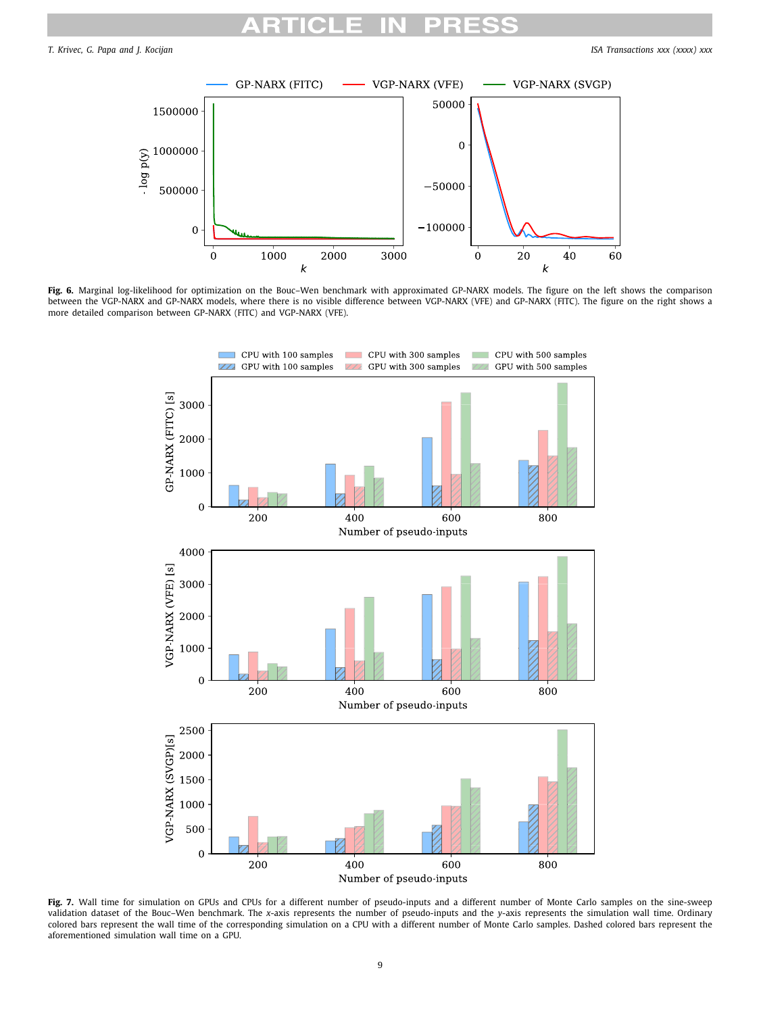

<span id="page-8-0"></span>**Fig. 6.** Marginal log-likelihood for optimization on the Bouc–Wen benchmark with approximated GP-NARX models. The figure on the left shows the comparison between the VGP-NARX and GP-NARX models, where there is no visible difference between VGP-NARX (VFE) and GP-NARX (FITC). The figure on the right shows a more detailed comparison between GP-NARX (FITC) and VGP-NARX (VFE).



<span id="page-8-1"></span>Fig. 7. Wall time for simulation on GPUs and CPUs for a different number of pseudo-inputs and a different number of Monte Carlo samples on the sine-sweep validation dataset of the Bouc–Wen benchmark. The *x*-axis represents the number of pseudo-inputs and the *y*-axis represents the simulation wall time. Ordinary colored bars represent the wall time of the corresponding simulation on a CPU with a different number of Monte Carlo samples. Dashed colored bars represent the aforementioned simulation wall time on a GPU.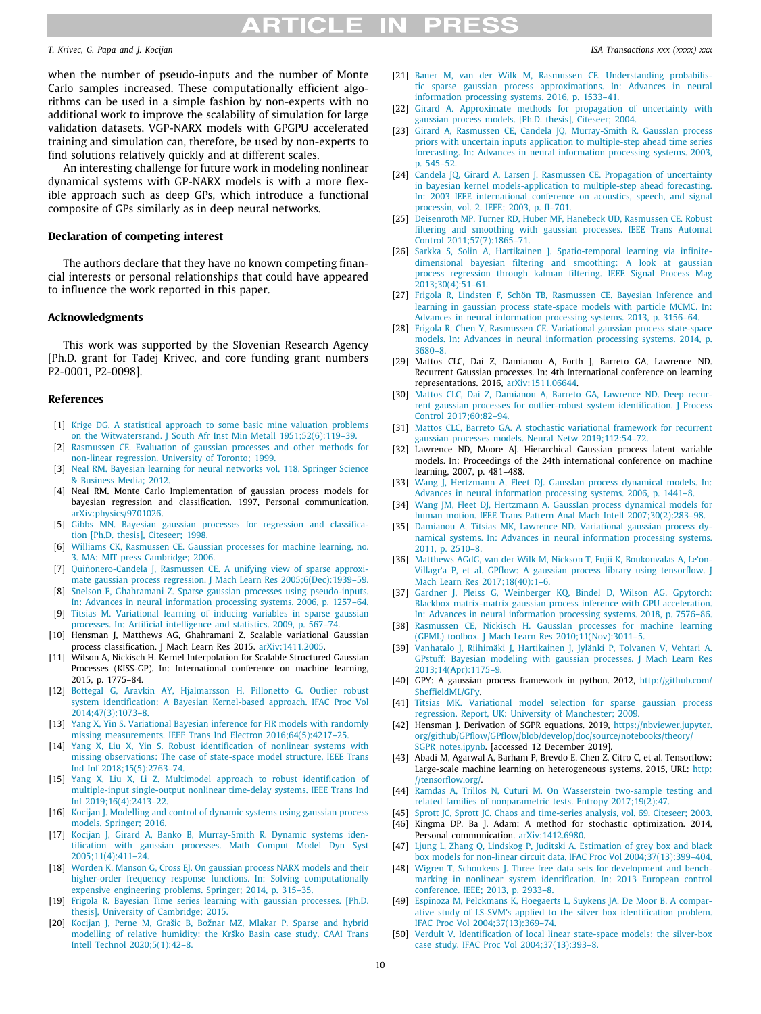## RTICLE IN

### *T. Krivec, G. Papa and J. Kocijan ISA Transactions xxx (xxxx) xxx*

when the number of pseudo-inputs and the number of Monte Carlo samples increased. These computationally efficient algorithms can be used in a simple fashion by non-experts with no additional work to improve the scalability of simulation for large validation datasets. VGP-NARX models with GPGPU accelerated training and simulation can, therefore, be used by non-experts to find solutions relatively quickly and at different scales.

An interesting challenge for future work in modeling nonlinear dynamical systems with GP-NARX models is with a more flexible approach such as deep GPs, which introduce a functional composite of GPs similarly as in deep neural networks.

### **Declaration of competing interest**

The authors declare that they have no known competing financial interests or personal relationships that could have appeared to influence the work reported in this paper.

### **Acknowledgments**

This work was supported by the Slovenian Research Agency [Ph.D. grant for Tadej Krivec, and core funding grant numbers P2-0001, P2-0098].

### **References**

- <span id="page-9-0"></span>[1] [Krige DG. A statistical approach to some basic mine valuation problems](http://refhub.elsevier.com/S0019-0578(20)30406-7/sb1) [on the Witwatersrand. J South Afr Inst Min Metall 1951;52\(6\):119–39.](http://refhub.elsevier.com/S0019-0578(20)30406-7/sb1)
- <span id="page-9-1"></span>[2] [Rasmussen CE. Evaluation of gaussian processes and other methods for](http://refhub.elsevier.com/S0019-0578(20)30406-7/sb2) [non-linear regression. University of Toronto; 1999.](http://refhub.elsevier.com/S0019-0578(20)30406-7/sb2)
- <span id="page-9-2"></span>[3] [Neal RM. Bayesian learning for neural networks vol. 118. Springer Science](http://refhub.elsevier.com/S0019-0578(20)30406-7/sb3) [& Business Media; 2012.](http://refhub.elsevier.com/S0019-0578(20)30406-7/sb3)
- <span id="page-9-3"></span>[4] Neal RM. Monte Carlo Implementation of gaussian process models for bayesian regression and classification. 1997, Personal communication. [arXiv:physics/9701026](http://arxiv.org/abs/physics/9701026).
- <span id="page-9-4"></span>[5] [Gibbs MN. Bayesian gaussian processes for regression and classifica](http://refhub.elsevier.com/S0019-0578(20)30406-7/sb5)[tion \[Ph.D. thesis\], Citeseer; 1998.](http://refhub.elsevier.com/S0019-0578(20)30406-7/sb5)
- <span id="page-9-5"></span>[6] [Williams CK, Rasmussen CE. Gaussian processes for machine learning, no.](http://refhub.elsevier.com/S0019-0578(20)30406-7/sb6) [3. MA: MIT press Cambridge; 2006.](http://refhub.elsevier.com/S0019-0578(20)30406-7/sb6)
- <span id="page-9-6"></span>[7] [Quiñonero-Candela J, Rasmussen CE. A unifying view of sparse approxi](http://refhub.elsevier.com/S0019-0578(20)30406-7/sb7)[mate gaussian process regression. J Mach Learn Res 2005;6\(Dec\):1939–59.](http://refhub.elsevier.com/S0019-0578(20)30406-7/sb7)
- <span id="page-9-7"></span>[8] [Snelson E, Ghahramani Z. Sparse gaussian processes using pseudo-inputs.](http://refhub.elsevier.com/S0019-0578(20)30406-7/sb8) [In: Advances in neural information processing systems. 2006, p. 1257–64.](http://refhub.elsevier.com/S0019-0578(20)30406-7/sb8)
- <span id="page-9-8"></span>[9] [Titsias M. Variational learning of inducing variables in sparse gaussian](http://refhub.elsevier.com/S0019-0578(20)30406-7/sb9) [processes. In: Artificial intelligence and statistics. 2009, p. 567–74.](http://refhub.elsevier.com/S0019-0578(20)30406-7/sb9)
- <span id="page-9-9"></span>[10] Hensman J, Matthews AG, Ghahramani Z. Scalable variational Gaussian process classification. J Mach Learn Res 2015. [arXiv:1411.2005](http://arxiv.org/abs/1411.2005).
- <span id="page-9-10"></span>[11] Wilson A, Nickisch H. Kernel Interpolation for Scalable Structured Gaussian Processes (KISS-GP). In: International conference on machine learning, 2015, p. 1775–84.
- <span id="page-9-11"></span>[12] [Bottegal G, Aravkin AY, Hjalmarsson H, Pillonetto G. Outlier robust](http://refhub.elsevier.com/S0019-0578(20)30406-7/sb12) [system identification: A Bayesian Kernel-based approach. IFAC Proc Vol](http://refhub.elsevier.com/S0019-0578(20)30406-7/sb12) [2014;47\(3\):1073–8.](http://refhub.elsevier.com/S0019-0578(20)30406-7/sb12)
- [13] [Yang X, Yin S. Variational Bayesian inference for FIR models with randomly](http://refhub.elsevier.com/S0019-0578(20)30406-7/sb13) [missing measurements. IEEE Trans Ind Electron 2016;64\(5\):4217–25.](http://refhub.elsevier.com/S0019-0578(20)30406-7/sb13)
- [14] [Yang X, Liu X, Yin S. Robust identification of nonlinear systems with](http://refhub.elsevier.com/S0019-0578(20)30406-7/sb14) [missing observations: The case of state-space model structure. IEEE Trans](http://refhub.elsevier.com/S0019-0578(20)30406-7/sb14) [Ind Inf 2018;15\(5\):2763–74.](http://refhub.elsevier.com/S0019-0578(20)30406-7/sb14)
- <span id="page-9-12"></span>[15] [Yang X, Liu X, Li Z. Multimodel approach to robust identification of](http://refhub.elsevier.com/S0019-0578(20)30406-7/sb15) [multiple-input single-output nonlinear time-delay systems. IEEE Trans Ind](http://refhub.elsevier.com/S0019-0578(20)30406-7/sb15) [Inf 2019;16\(4\):2413–22.](http://refhub.elsevier.com/S0019-0578(20)30406-7/sb15)
- <span id="page-9-13"></span>[16] [Kocijan J. Modelling and control of dynamic systems using gaussian process](http://refhub.elsevier.com/S0019-0578(20)30406-7/sb16) [models. Springer; 2016.](http://refhub.elsevier.com/S0019-0578(20)30406-7/sb16)
- <span id="page-9-14"></span>[17] [Kocijan J, Girard A, Banko B, Murray-Smith R. Dynamic systems iden](http://refhub.elsevier.com/S0019-0578(20)30406-7/sb17)[tification with gaussian processes. Math Comput Model Dyn Syst](http://refhub.elsevier.com/S0019-0578(20)30406-7/sb17) [2005;11\(4\):411–24.](http://refhub.elsevier.com/S0019-0578(20)30406-7/sb17)
- <span id="page-9-15"></span>[18] [Worden K, Manson G, Cross EJ. On gaussian process NARX models and their](http://refhub.elsevier.com/S0019-0578(20)30406-7/sb18) [higher-order frequency response functions. In: Solving computationally](http://refhub.elsevier.com/S0019-0578(20)30406-7/sb18) [expensive engineering problems. Springer; 2014, p. 315–35.](http://refhub.elsevier.com/S0019-0578(20)30406-7/sb18)
- <span id="page-9-16"></span>[19] [Frigola R. Bayesian Time series learning with gaussian processes. \[Ph.D.](http://refhub.elsevier.com/S0019-0578(20)30406-7/sb19) [thesis\], University of Cambridge; 2015.](http://refhub.elsevier.com/S0019-0578(20)30406-7/sb19)
- <span id="page-9-17"></span>[20] [Kocijan J, Perne M, Grašic B, Božnar MZ, Mlakar P. Sparse and hybrid](http://refhub.elsevier.com/S0019-0578(20)30406-7/sb20) [modelling of relative humidity: the Krško Basin case study. CAAI Trans](http://refhub.elsevier.com/S0019-0578(20)30406-7/sb20) [Intell Technol 2020;5\(1\):42–8.](http://refhub.elsevier.com/S0019-0578(20)30406-7/sb20)
- <span id="page-9-18"></span>[21] [Bauer M, van der Wilk M, Rasmussen CE. Understanding probabilis](http://refhub.elsevier.com/S0019-0578(20)30406-7/sb21)[tic sparse gaussian process approximations. In: Advances in neural](http://refhub.elsevier.com/S0019-0578(20)30406-7/sb21) [information processing systems. 2016, p. 1533–41.](http://refhub.elsevier.com/S0019-0578(20)30406-7/sb21)
- <span id="page-9-19"></span>[22] [Girard A. Approximate methods for propagation of uncertainty with](http://refhub.elsevier.com/S0019-0578(20)30406-7/sb22) [gaussian process models. \[Ph.D. thesis\], Citeseer; 2004.](http://refhub.elsevier.com/S0019-0578(20)30406-7/sb22)
- [23] [Girard A, Rasmussen CE, Candela JQ, Murray-Smith R. GaussIan process](http://refhub.elsevier.com/S0019-0578(20)30406-7/sb23) [priors with uncertain inputs application to multiple-step ahead time series](http://refhub.elsevier.com/S0019-0578(20)30406-7/sb23) [forecasting. In: Advances in neural information processing systems. 2003,](http://refhub.elsevier.com/S0019-0578(20)30406-7/sb23) [p. 545–52.](http://refhub.elsevier.com/S0019-0578(20)30406-7/sb23)
- <span id="page-9-20"></span>[24] [Candela JQ, Girard A, Larsen J, Rasmussen CE. Propagation of uncertainty](http://refhub.elsevier.com/S0019-0578(20)30406-7/sb24) [in bayesian kernel models-application to multiple-step ahead forecasting.](http://refhub.elsevier.com/S0019-0578(20)30406-7/sb24) [In: 2003 IEEE international conference on acoustics, speech, and signal](http://refhub.elsevier.com/S0019-0578(20)30406-7/sb24) [processin, vol. 2. IEEE; 2003, p. II–701.](http://refhub.elsevier.com/S0019-0578(20)30406-7/sb24)
- <span id="page-9-21"></span>[25] [Deisenroth MP, Turner RD, Huber MF, Hanebeck UD, Rasmussen CE. Robust](http://refhub.elsevier.com/S0019-0578(20)30406-7/sb25) [filtering and smoothing with gaussian processes. IEEE Trans Automat](http://refhub.elsevier.com/S0019-0578(20)30406-7/sb25) [Control 2011;57\(7\):1865–71.](http://refhub.elsevier.com/S0019-0578(20)30406-7/sb25)
- [26] [Sarkka S, Solin A, Hartikainen J. Spatio-temporal learning via infinite](http://refhub.elsevier.com/S0019-0578(20)30406-7/sb26)[dimensional bayesian filtering and smoothing: A look at gaussian](http://refhub.elsevier.com/S0019-0578(20)30406-7/sb26) [process regression through kalman filtering. IEEE Signal Process Mag](http://refhub.elsevier.com/S0019-0578(20)30406-7/sb26) [2013;30\(4\):51–61.](http://refhub.elsevier.com/S0019-0578(20)30406-7/sb26)
- <span id="page-9-22"></span>[27] [Frigola R, Lindsten F, Schön TB, Rasmussen CE. Bayesian Inference and](http://refhub.elsevier.com/S0019-0578(20)30406-7/sb27) [learning in gaussian process state-space models with particle MCMC. In:](http://refhub.elsevier.com/S0019-0578(20)30406-7/sb27) [Advances in neural information processing systems. 2013, p. 3156–64.](http://refhub.elsevier.com/S0019-0578(20)30406-7/sb27)
- <span id="page-9-23"></span>[28] [Frigola R, Chen Y, Rasmussen CE. Variational gaussian process state-space](http://refhub.elsevier.com/S0019-0578(20)30406-7/sb28) [models. In: Advances in neural information processing systems. 2014, p.](http://refhub.elsevier.com/S0019-0578(20)30406-7/sb28) [3680–8.](http://refhub.elsevier.com/S0019-0578(20)30406-7/sb28)
- <span id="page-9-24"></span>[29] Mattos CLC, Dai Z, Damianou A, Forth J, Barreto GA, Lawrence ND. Recurrent Gaussian processes. In: 4th International conference on learning representations. 2016, [arXiv:1511.06644](http://arxiv.org/abs/1511.06644).
- [30] [Mattos CLC, Dai Z, Damianou A, Barreto GA, Lawrence ND. Deep recur](http://refhub.elsevier.com/S0019-0578(20)30406-7/sb30)[rent gaussian processes for outlier-robust system identification. J Process](http://refhub.elsevier.com/S0019-0578(20)30406-7/sb30) [Control 2017;60:82–94.](http://refhub.elsevier.com/S0019-0578(20)30406-7/sb30)
- <span id="page-9-25"></span>[31] [Mattos CLC, Barreto GA. A stochastic variational framework for recurrent](http://refhub.elsevier.com/S0019-0578(20)30406-7/sb31) [gaussian processes models. Neural Netw 2019;112:54–72.](http://refhub.elsevier.com/S0019-0578(20)30406-7/sb31)
- <span id="page-9-26"></span>[32] Lawrence ND, Moore AJ. Hierarchical Gaussian process latent variable models. In: Proceedings of the 24th international conference on machine learning, 2007, p. 481–488.
- [33] [Wang J, Hertzmann A, Fleet DJ. GaussIan process dynamical models. In:](http://refhub.elsevier.com/S0019-0578(20)30406-7/sb33) [Advances in neural information processing systems. 2006, p. 1441–8.](http://refhub.elsevier.com/S0019-0578(20)30406-7/sb33)
- [34] [Wang JM, Fleet DJ, Hertzmann A. GaussIan process dynamical models for](http://refhub.elsevier.com/S0019-0578(20)30406-7/sb34) [human motion. IEEE Trans Pattern Anal Mach Intell 2007;30\(2\):283–98.](http://refhub.elsevier.com/S0019-0578(20)30406-7/sb34)
- <span id="page-9-27"></span>[35] [Damianou A, Titsias MK, Lawrence ND. Variational gaussian process dy](http://refhub.elsevier.com/S0019-0578(20)30406-7/sb35)[namical systems. In: Advances in neural information processing systems.](http://refhub.elsevier.com/S0019-0578(20)30406-7/sb35) [2011, p. 2510–8.](http://refhub.elsevier.com/S0019-0578(20)30406-7/sb35)
- <span id="page-9-28"></span>[36] [Matthews AGdG, van der Wilk M, Nickson T, Fujii K, Boukouvalas A, Le'on-](http://refhub.elsevier.com/S0019-0578(20)30406-7/sb36)[Villagr'a P, et al. GPflow: A gaussian process library using tensorflow. J](http://refhub.elsevier.com/S0019-0578(20)30406-7/sb36) [Mach Learn Res 2017;18\(40\):1–6.](http://refhub.elsevier.com/S0019-0578(20)30406-7/sb36)
- <span id="page-9-29"></span>[37] Gardner J, Pleiss G, Weinberger KQ, Bindel D, Wilson AG, Gpytorch: [Blackbox matrix-matrix gaussian process inference with GPU acceleration.](http://refhub.elsevier.com/S0019-0578(20)30406-7/sb37) [In: Advances in neural information processing systems. 2018, p. 7576–86.](http://refhub.elsevier.com/S0019-0578(20)30406-7/sb37)
- <span id="page-9-30"></span>[38] [Rasmussen CE, Nickisch H. GaussIan processes for machine learning](http://refhub.elsevier.com/S0019-0578(20)30406-7/sb38) [\(GPML\) toolbox. J Mach Learn Res 2010;11\(Nov\):3011–5.](http://refhub.elsevier.com/S0019-0578(20)30406-7/sb38)
- [39] [Vanhatalo J, Riihimäki J, Hartikainen J, Jylänki P, Tolvanen V, Vehtari A.](http://refhub.elsevier.com/S0019-0578(20)30406-7/sb39) [GPstuff: Bayesian modeling with gaussian processes. J Mach Learn Res](http://refhub.elsevier.com/S0019-0578(20)30406-7/sb39) [2013;14\(Apr\):1175–9.](http://refhub.elsevier.com/S0019-0578(20)30406-7/sb39)
- <span id="page-9-31"></span>[40] GPY: A gaussian process framework in python. 2012, [http://github.com/](http://github.com/SheffieldML/GPy) [SheffieldML/GPy.](http://github.com/SheffieldML/GPy)
- <span id="page-9-32"></span>[41] [Titsias MK. Variational model selection for sparse gaussian process](http://refhub.elsevier.com/S0019-0578(20)30406-7/sb41) [regression. Report, UK: University of Manchester; 2009.](http://refhub.elsevier.com/S0019-0578(20)30406-7/sb41)
- <span id="page-9-33"></span>[42] Hensman J. Derivation of SGPR equations. 2019, [https://nbviewer.jupyter.](https://nbviewer.jupyter.org/github/GPflow/GPflow/blob/develop/doc/source/notebooks/theory/SGPR_notes.ipynb) [org/github/GPflow/GPflow/blob/develop/doc/source/notebooks/theory/](https://nbviewer.jupyter.org/github/GPflow/GPflow/blob/develop/doc/source/notebooks/theory/SGPR_notes.ipynb) [SGPR\\_notes.ipynb.](https://nbviewer.jupyter.org/github/GPflow/GPflow/blob/develop/doc/source/notebooks/theory/SGPR_notes.ipynb) [accessed 12 December 2019].
- <span id="page-9-34"></span>[43] Abadi M, Agarwal A, Barham P, Brevdo E, Chen Z, Citro C, et al. Tensorflow: Large-scale machine learning on heterogeneous systems. 2015, URL: [http:](http://tensorflow.org/) [//tensorflow.org/.](http://tensorflow.org/)
- <span id="page-9-35"></span>[44] [Ramdas A, Trillos N, Cuturi M. On Wasserstein two-sample testing and](http://refhub.elsevier.com/S0019-0578(20)30406-7/sb44) [related families of nonparametric tests. Entropy 2017;19\(2\):47.](http://refhub.elsevier.com/S0019-0578(20)30406-7/sb44)
- <span id="page-9-36"></span>[45] [Sprott JC, Sprott JC. Chaos and time-series analysis, vol. 69. Citeseer; 2003.](http://refhub.elsevier.com/S0019-0578(20)30406-7/sb45)
- <span id="page-9-37"></span>[46] Kingma DP, Ba J. Adam: A method for stochastic optimization. 2014, Personal communication. [arXiv:1412.6980.](http://arxiv.org/abs/1412.6980)
- <span id="page-9-38"></span>[47] [Ljung L, Zhang Q, Lindskog P, Juditski A. Estimation of grey box and black](http://refhub.elsevier.com/S0019-0578(20)30406-7/sb47) [box models for non-linear circuit data. IFAC Proc Vol 2004;37\(13\):399–404.](http://refhub.elsevier.com/S0019-0578(20)30406-7/sb47)
- <span id="page-9-41"></span>[48] [Wigren T, Schoukens J. Three free data sets for development and bench](http://refhub.elsevier.com/S0019-0578(20)30406-7/sb48)[marking in nonlinear system identification. In: 2013 European control](http://refhub.elsevier.com/S0019-0578(20)30406-7/sb48) [conference. IEEE; 2013, p. 2933–8.](http://refhub.elsevier.com/S0019-0578(20)30406-7/sb48)
- <span id="page-9-39"></span>[49] [Espinoza M, Pelckmans K, Hoegaerts L, Suykens JA, De Moor B. A compar](http://refhub.elsevier.com/S0019-0578(20)30406-7/sb49)[ative study of LS-SVM's applied to the silver box identification problem.](http://refhub.elsevier.com/S0019-0578(20)30406-7/sb49) [IFAC Proc Vol 2004;37\(13\):369–74.](http://refhub.elsevier.com/S0019-0578(20)30406-7/sb49)
- <span id="page-9-40"></span>[50] [Verdult V. Identification of local linear state-space models: the silver-box](http://refhub.elsevier.com/S0019-0578(20)30406-7/sb50) [case study. IFAC Proc Vol 2004;37\(13\):393–8.](http://refhub.elsevier.com/S0019-0578(20)30406-7/sb50)